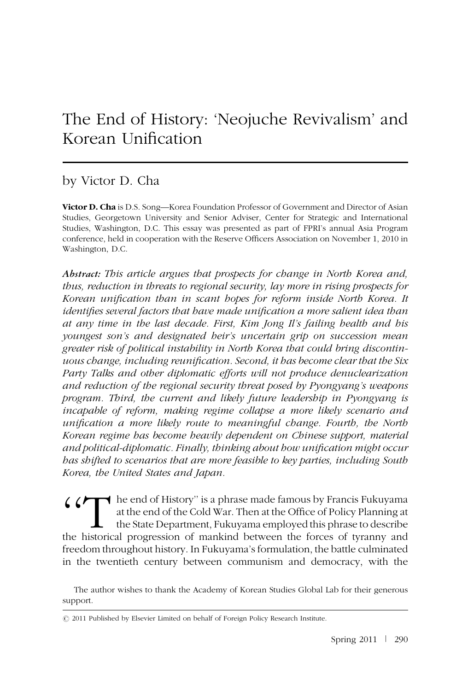# The End of History: 'Neojuche Revivalism' and Korean Unification

# by Victor D. Cha

Victor D. Cha is D.S. Song—Korea Foundation Professor of Government and Director of Asian Studies, Georgetown University and Senior Adviser, Center for Strategic and International Studies, Washington, D.C. This essay was presented as part of FPRI's annual Asia Program conference, held in cooperation with the Reserve Officers Association on November 1, 2010 in Washington, D.C.

Abstract: This article argues that prospects for change in North Korea and, thus, reduction in threats to regional security, lay more in rising prospects for Korean unification than in scant hopes for reform inside North Korea. It identifies several factors that have made unification a more salient idea than at any time in the last decade. First, Kim Jong Il's failing health and his youngest son's and designated heir's uncertain grip on succession mean greater risk of political instability in North Korea that could bring discontinuous change, including reunification. Second, it has become clear that the Six Party Talks and other diplomatic efforts will not produce denuclearization and reduction of the regional security threat posed by Pyongyang's weapons program. Third, the current and likely future leadership in Pyongyang is incapable of reform, making regime collapse a more likely scenario and unification a more likely route to meaningful change. Fourth, the North Korean regime has become heavily dependent on Chinese support, material and political-diplomatic. Finally, thinking about how unification might occur has shifted to scenarios that are more feasible to key parties, including South Korea, the United States and Japan.

(<br>
The end of History" is a phrase made famous by Francis Fukuyama<br>
at the end of the Cold War. Then at the Office of Policy Planning at<br>
the State Department, Fukuyama employed this phrase to describe<br>
the historical prog at the end of the Cold War. Then at the Office of Policy Planning at the State Department, Fukuyama employed this phrase to describe the historical progression of mankind between the forces of tyranny and freedom throughout history. In Fukuyama's formulation, the battle culminated in the twentieth century between communism and democracy, with the

The author wishes to thank the Academy of Korean Studies Global Lab for their generous support.

 $\odot$  2011 Published by Elsevier Limited on behalf of Foreign Policy Research Institute.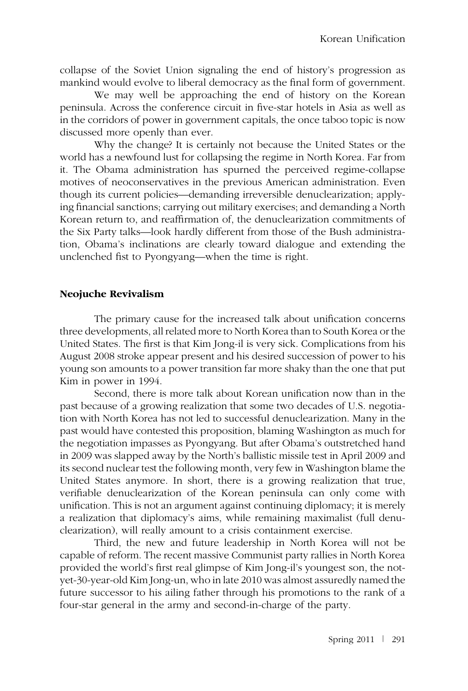collapse of the Soviet Union signaling the end of history's progression as mankind would evolve to liberal democracy as the final form of government.

We may well be approaching the end of history on the Korean peninsula. Across the conference circuit in five-star hotels in Asia as well as in the corridors of power in government capitals, the once taboo topic is now discussed more openly than ever.

Why the change? It is certainly not because the United States or the world has a newfound lust for collapsing the regime in North Korea. Far from it. The Obama administration has spurned the perceived regime-collapse motives of neoconservatives in the previous American administration. Even though its current policies—demanding irreversible denuclearization; applying financial sanctions; carrying out military exercises; and demanding a North Korean return to, and reaffirmation of, the denuclearization commitments of the Six Party talks—look hardly different from those of the Bush administration, Obama's inclinations are clearly toward dialogue and extending the unclenched fist to Pyongyang—when the time is right.

#### Neojuche Revivalism

The primary cause for the increased talk about unification concerns three developments, all related more to North Korea than to South Korea or the United States. The first is that Kim Jong-il is very sick. Complications from his August 2008 stroke appear present and his desired succession of power to his young son amounts to a power transition far more shaky than the one that put Kim in power in 1994.

Second, there is more talk about Korean unification now than in the past because of a growing realization that some two decades of U.S. negotiation with North Korea has not led to successful denuclearization. Many in the past would have contested this proposition, blaming Washington as much for the negotiation impasses as Pyongyang. But after Obama's outstretched hand in 2009 was slapped away by the North's ballistic missile test in April 2009 and its second nuclear test the following month, very few in Washington blame the United States anymore. In short, there is a growing realization that true, verifiable denuclearization of the Korean peninsula can only come with unification. This is not an argument against continuing diplomacy; it is merely a realization that diplomacy's aims, while remaining maximalist (full denuclearization), will really amount to a crisis containment exercise.

Third, the new and future leadership in North Korea will not be capable of reform. The recent massive Communist party rallies in North Korea provided the world's first real glimpse of Kim Jong-il's youngest son, the notyet-30-year-old Kim Jong-un, who in late 2010 was almost assuredly named the future successor to his ailing father through his promotions to the rank of a four-star general in the army and second-in-charge of the party.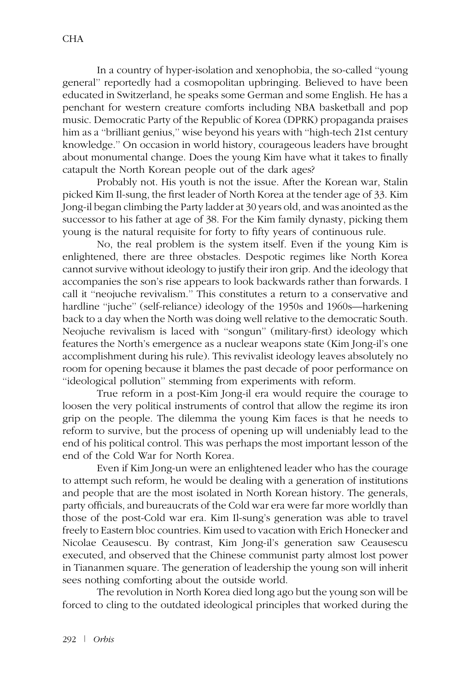In a country of hyper-isolation and xenophobia, the so-called ''young general'' reportedly had a cosmopolitan upbringing. Believed to have been educated in Switzerland, he speaks some German and some English. He has a penchant for western creature comforts including NBA basketball and pop music. Democratic Party of the Republic of Korea (DPRK) propaganda praises him as a "brilliant genius," wise beyond his years with "high-tech 21st century knowledge.'' On occasion in world history, courageous leaders have brought about monumental change. Does the young Kim have what it takes to finally catapult the North Korean people out of the dark ages?

Probably not. His youth is not the issue. After the Korean war, Stalin picked Kim Il-sung, the first leader of North Korea at the tender age of 33. Kim Jong-il began climbing the Party ladder at 30 years old, and was anointed as the successor to his father at age of 38. For the Kim family dynasty, picking them young is the natural requisite for forty to fifty years of continuous rule.

No, the real problem is the system itself. Even if the young Kim is enlightened, there are three obstacles. Despotic regimes like North Korea cannot survive without ideology to justify their iron grip. And the ideology that accompanies the son's rise appears to look backwards rather than forwards. I call it ''neojuche revivalism.'' This constitutes a return to a conservative and hardline ''juche'' (self-reliance) ideology of the 1950s and 1960s—harkening back to a day when the North was doing well relative to the democratic South. Neojuche revivalism is laced with ''songun'' (military-first) ideology which features the North's emergence as a nuclear weapons state (Kim Jong-il's one accomplishment during his rule). This revivalist ideology leaves absolutely no room for opening because it blames the past decade of poor performance on ''ideological pollution'' stemming from experiments with reform.

True reform in a post-Kim Jong-il era would require the courage to loosen the very political instruments of control that allow the regime its iron grip on the people. The dilemma the young Kim faces is that he needs to reform to survive, but the process of opening up will undeniably lead to the end of his political control. This was perhaps the most important lesson of the end of the Cold War for North Korea.

Even if Kim Jong-un were an enlightened leader who has the courage to attempt such reform, he would be dealing with a generation of institutions and people that are the most isolated in North Korean history. The generals, party officials, and bureaucrats of the Cold war era were far more worldly than those of the post-Cold war era. Kim Il-sung's generation was able to travel freely to Eastern bloc countries. Kim used to vacation with Erich Honecker and Nicolae Ceausescu. By contrast, Kim Jong-il's generation saw Ceausescu executed, and observed that the Chinese communist party almost lost power in Tiananmen square. The generation of leadership the young son will inherit sees nothing comforting about the outside world.

The revolution in North Korea died long ago but the young son will be forced to cling to the outdated ideological principles that worked during the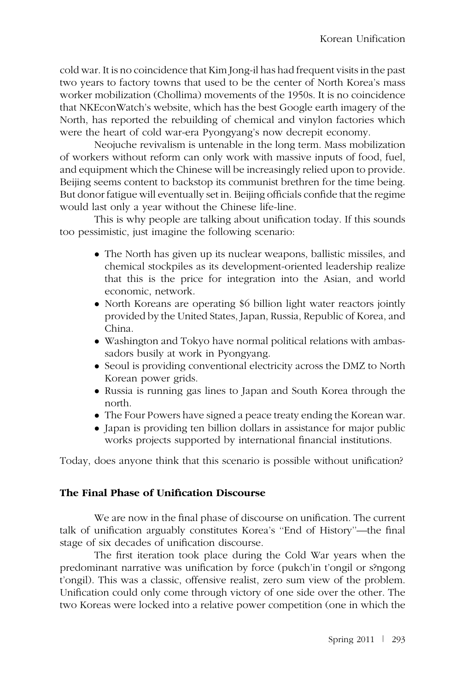cold war. It is no coincidence that Kim Jong-il has had frequent visits in the past two years to factory towns that used to be the center of North Korea's mass worker mobilization (Chollima) movements of the 1950s. It is no coincidence that NKEconWatch's website, which has the best Google earth imagery of the North, has reported the rebuilding of chemical and vinylon factories which were the heart of cold war-era Pyongyang's now decrepit economy.

Neojuche revivalism is untenable in the long term. Mass mobilization of workers without reform can only work with massive inputs of food, fuel, and equipment which the Chinese will be increasingly relied upon to provide. Beijing seems content to backstop its communist brethren for the time being. But donor fatigue will eventually set in. Beijing officials confide that the regime would last only a year without the Chinese life-line.

This is why people are talking about unification today. If this sounds too pessimistic, just imagine the following scenario:

- The North has given up its nuclear weapons, ballistic missiles, and chemical stockpiles as its development-oriented leadership realize that this is the price for integration into the Asian, and world economic, network.
- North Koreans are operating \$6 billion light water reactors jointly provided by the United States, Japan, Russia, Republic of Korea, and China.
- Washington and Tokyo have normal political relations with ambassadors busily at work in Pyongyang.
- Seoul is providing conventional electricity across the DMZ to North Korean power grids.
- Russia is running gas lines to Japan and South Korea through the north.
- The Four Powers have signed a peace treaty ending the Korean war.
- Japan is providing ten billion dollars in assistance for major public works projects supported by international financial institutions.

Today, does anyone think that this scenario is possible without unification?

# The Final Phase of Unification Discourse

We are now in the final phase of discourse on unification. The current talk of unification arguably constitutes Korea's ''End of History''—the final stage of six decades of unification discourse.

The first iteration took place during the Cold War years when the predominant narrative was unification by force (pukch'in t'ongil or s?ngong t'ongil). This was a classic, offensive realist, zero sum view of the problem. Unification could only come through victory of one side over the other. The two Koreas were locked into a relative power competition (one in which the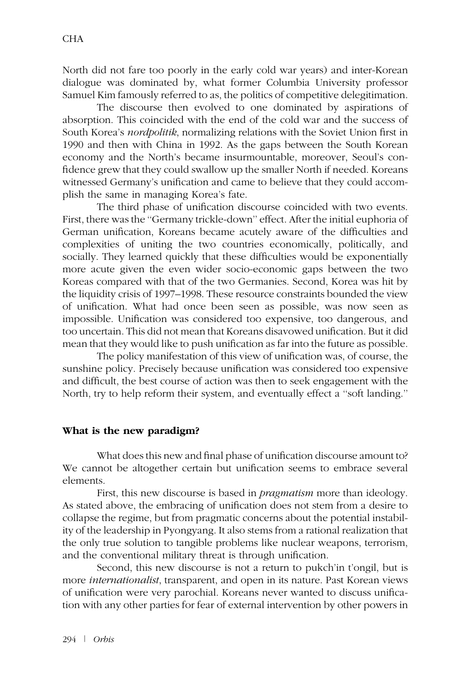North did not fare too poorly in the early cold war years) and inter-Korean dialogue was dominated by, what former Columbia University professor Samuel Kim famously referred to as, the politics of competitive delegitimation.

The discourse then evolved to one dominated by aspirations of absorption. This coincided with the end of the cold war and the success of South Korea's nordpolitik, normalizing relations with the Soviet Union first in 1990 and then with China in 1992. As the gaps between the South Korean economy and the North's became insurmountable, moreover, Seoul's confidence grew that they could swallow up the smaller North if needed. Koreans witnessed Germany's unification and came to believe that they could accomplish the same in managing Korea's fate.

The third phase of unification discourse coincided with two events. First, there was the ''Germany trickle-down'' effect. After the initial euphoria of German unification, Koreans became acutely aware of the difficulties and complexities of uniting the two countries economically, politically, and socially. They learned quickly that these difficulties would be exponentially more acute given the even wider socio-economic gaps between the two Koreas compared with that of the two Germanies. Second, Korea was hit by the liquidity crisis of 1997–1998. These resource constraints bounded the view of unification. What had once been seen as possible, was now seen as impossible. Unification was considered too expensive, too dangerous, and too uncertain. This did not mean that Koreans disavowed unification. But it did mean that they would like to push unification as far into the future as possible.

The policy manifestation of this view of unification was, of course, the sunshine policy. Precisely because unification was considered too expensive and difficult, the best course of action was then to seek engagement with the North, try to help reform their system, and eventually effect a ''soft landing.''

## What is the new paradigm?

What does this new and final phase of unification discourse amount to? We cannot be altogether certain but unification seems to embrace several elements.

First, this new discourse is based in *pragmatism* more than ideology. As stated above, the embracing of unification does not stem from a desire to collapse the regime, but from pragmatic concerns about the potential instability of the leadership in Pyongyang. It also stems from a rational realization that the only true solution to tangible problems like nuclear weapons, terrorism, and the conventional military threat is through unification.

Second, this new discourse is not a return to pukch'in t'ongil, but is more internationalist, transparent, and open in its nature. Past Korean views of unification were very parochial. Koreans never wanted to discuss unification with any other parties for fear of external intervention by other powers in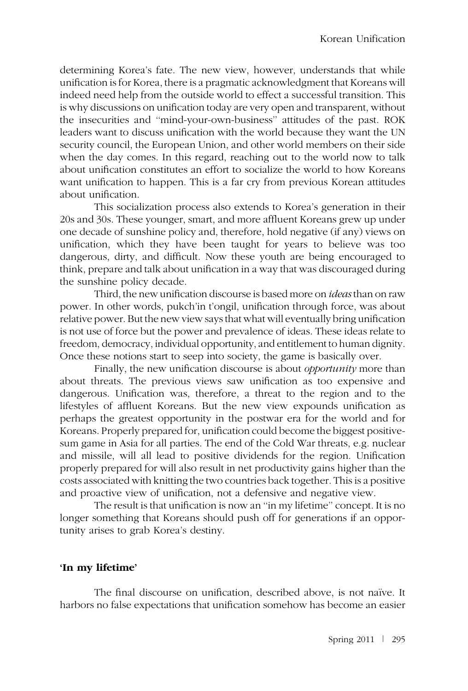determining Korea's fate. The new view, however, understands that while unification is for Korea, there is a pragmatic acknowledgment that Koreans will indeed need help from the outside world to effect a successful transition. This is why discussions on unification today are very open and transparent, without the insecurities and ''mind-your-own-business'' attitudes of the past. ROK leaders want to discuss unification with the world because they want the UN security council, the European Union, and other world members on their side when the day comes. In this regard, reaching out to the world now to talk about unification constitutes an effort to socialize the world to how Koreans want unification to happen. This is a far cry from previous Korean attitudes about unification.

This socialization process also extends to Korea's generation in their 20s and 30s. These younger, smart, and more affluent Koreans grew up under one decade of sunshine policy and, therefore, hold negative (if any) views on unification, which they have been taught for years to believe was too dangerous, dirty, and difficult. Now these youth are being encouraged to think, prepare and talk about unification in a way that was discouraged during the sunshine policy decade.

Third, the new unification discourse is based more on *ideas* than on raw power. In other words, pukch'in t'ongil, unification through force, was about relative power. But the new view says that what will eventually bring unification is not use of force but the power and prevalence of ideas. These ideas relate to freedom, democracy, individual opportunity, and entitlement to human dignity. Once these notions start to seep into society, the game is basically over.

Finally, the new unification discourse is about opportunity more than about threats. The previous views saw unification as too expensive and dangerous. Unification was, therefore, a threat to the region and to the lifestyles of affluent Koreans. But the new view expounds unification as perhaps the greatest opportunity in the postwar era for the world and for Koreans. Properly prepared for, unification could become the biggest positivesum game in Asia for all parties. The end of the Cold War threats, e.g. nuclear and missile, will all lead to positive dividends for the region. Unification properly prepared for will also result in net productivity gains higher than the costs associated with knitting the two countries back together. This is a positive and proactive view of unification, not a defensive and negative view.

The result is that unification is now an ''in my lifetime'' concept. It is no longer something that Koreans should push off for generations if an opportunity arises to grab Korea's destiny.

## 'In my lifetime'

The final discourse on unification, described above, is not naïve. It harbors no false expectations that unification somehow has become an easier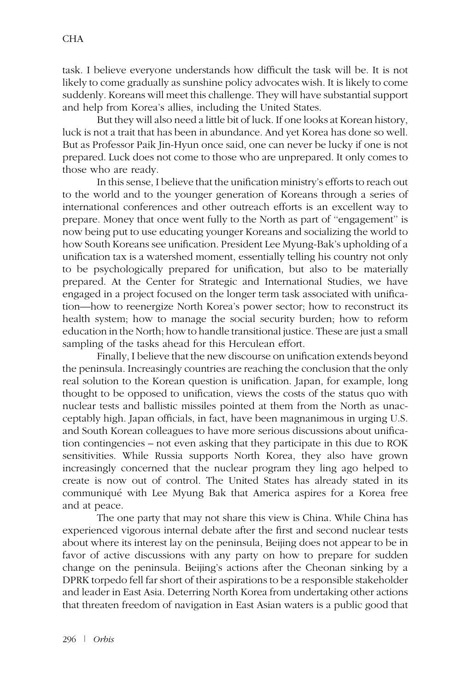task. I believe everyone understands how difficult the task will be. It is not likely to come gradually as sunshine policy advocates wish. It is likely to come suddenly. Koreans will meet this challenge. They will have substantial support and help from Korea's allies, including the United States.

But they will also need a little bit of luck. If one looks at Korean history, luck is not a trait that has been in abundance. And yet Korea has done so well. But as Professor Paik Jin-Hyun once said, one can never be lucky if one is not prepared. Luck does not come to those who are unprepared. It only comes to those who are ready.

In this sense, I believe that the unification ministry's efforts to reach out to the world and to the younger generation of Koreans through a series of international conferences and other outreach efforts is an excellent way to prepare. Money that once went fully to the North as part of ''engagement'' is now being put to use educating younger Koreans and socializing the world to how South Koreans see unification. President Lee Myung-Bak's upholding of a unification tax is a watershed moment, essentially telling his country not only to be psychologically prepared for unification, but also to be materially prepared. At the Center for Strategic and International Studies, we have engaged in a project focused on the longer term task associated with unification—how to reenergize North Korea's power sector; how to reconstruct its health system; how to manage the social security burden; how to reform education in the North; how to handle transitional justice. These are just a small sampling of the tasks ahead for this Herculean effort.

Finally, I believe that the new discourse on unification extends beyond the peninsula. Increasingly countries are reaching the conclusion that the only real solution to the Korean question is unification. Japan, for example, long thought to be opposed to unification, views the costs of the status quo with nuclear tests and ballistic missiles pointed at them from the North as unacceptably high. Japan officials, in fact, have been magnanimous in urging U.S. and South Korean colleagues to have more serious discussions about unification contingencies – not even asking that they participate in this due to ROK sensitivities. While Russia supports North Korea, they also have grown increasingly concerned that the nuclear program they ling ago helped to create is now out of control. The United States has already stated in its communiqué with Lee Myung Bak that America aspires for a Korea free and at peace.

The one party that may not share this view is China. While China has experienced vigorous internal debate after the first and second nuclear tests about where its interest lay on the peninsula, Beijing does not appear to be in favor of active discussions with any party on how to prepare for sudden change on the peninsula. Beijing's actions after the Cheonan sinking by a DPRK torpedo fell far short of their aspirations to be a responsible stakeholder and leader in East Asia. Deterring North Korea from undertaking other actions that threaten freedom of navigation in East Asian waters is a public good that